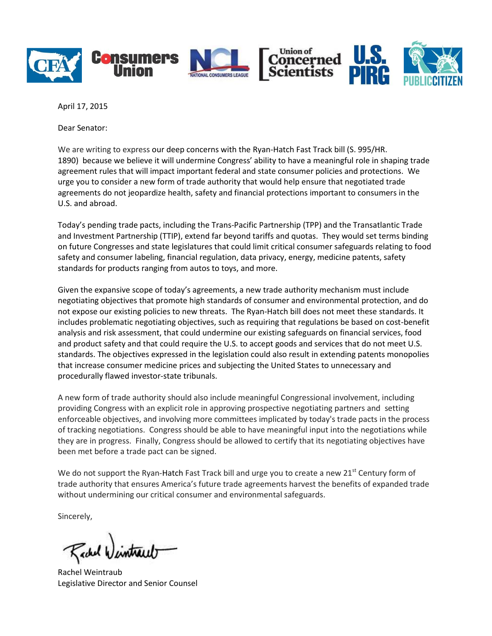

April 17, 2015

Dear Senator:

We are writing to express our deep concerns with the Ryan-Hatch Fast Track bill (S. 995/HR. 1890) because we believe it will undermine Congress' ability to have a meaningful role in shaping trade agreement rules that will impact important federal and state consumer policies and protections. We urge you to consider a new form of trade authority that would help ensure that negotiated trade agreements do not jeopardize health, safety and financial protections important to consumers in the U.S. and abroad.

Today's pending trade pacts, including the Trans-Pacific Partnership (TPP) and the Transatlantic Trade and Investment Partnership (TTIP), extend far beyond tariffs and quotas. They would set terms binding on future Congresses and state legislatures that could limit critical consumer safeguards relating to food safety and consumer labeling, financial regulation, data privacy, energy, medicine patents, safety standards for products ranging from autos to toys, and more.

Given the expansive scope of today's agreements, a new trade authority mechanism must include negotiating objectives that promote high standards of consumer and environmental protection, and do not expose our existing policies to new threats. The Ryan-Hatch bill does not meet these standards. It includes problematic negotiating objectives, such as requiring that regulations be based on cost-benefit analysis and risk assessment, that could undermine our existing safeguards on financial services, food and product safety and that could require the U.S. to accept goods and services that do not meet U.S. standards. The objectives expressed in the legislation could also result in extending patents monopolies that increase consumer medicine prices and subjecting the United States to unnecessary and procedurally flawed investor-state tribunals.

A new form of trade authority should also include meaningful Congressional involvement, including providing Congress with an explicit role in approving prospective negotiating partners and setting enforceable objectives, and involving more committees implicated by today's trade pacts in the process of tracking negotiations. Congress should be able to have meaningful input into the negotiations while they are in progress. Finally, Congress should be allowed to certify that its negotiating objectives have been met before a trade pact can be signed.

We do not support the Ryan-Hatch Fast Track bill and urge you to create a new 21<sup>st</sup> Century form of trade authority that ensures America's future trade agreements harvest the benefits of expanded trade without undermining our critical consumer and environmental safeguards.

Sincerely,

Rachel 4

Rachel Weintraub Legislative Director and Senior Counsel